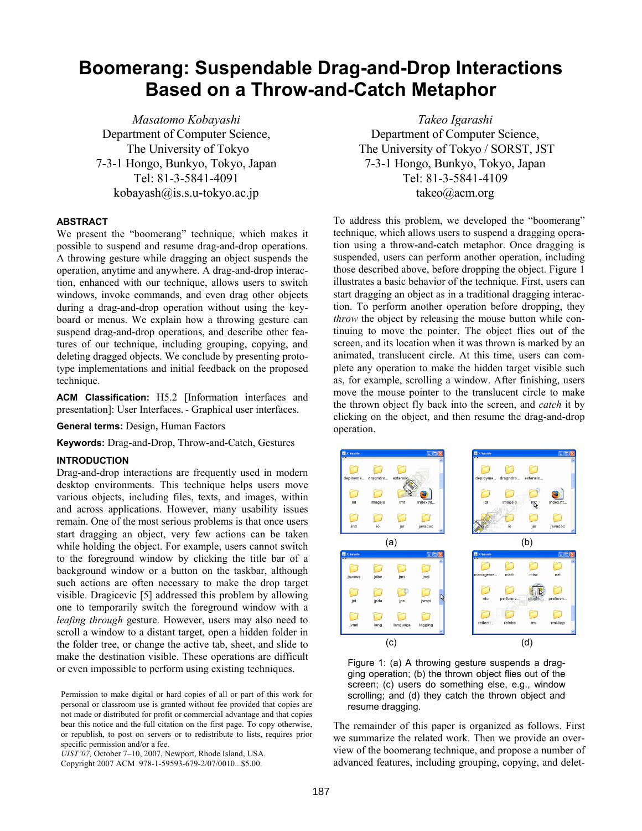# **Boomerang: Suspendable Drag-and-Drop Interactions Based on a Throw-and-Catch Metaphor**

*Masatomo Kobayashi*  Department of Computer Science, The University of Tokyo 7-3-1 Hongo, Bunkyo, Tokyo, Japan Tel: 81-3-5841-4091 kobayash@is.s.u-tokyo.ac.jp

#### **ABSTRACT**

We present the "boomerang" technique, which makes it possible to suspend and resume drag-and-drop operations. A throwing gesture while dragging an object suspends the operation, anytime and anywhere. A drag-and-drop interaction, enhanced with our technique, allows users to switch windows, invoke commands, and even drag other objects during a drag-and-drop operation without using the keyboard or menus. We explain how a throwing gesture can suspend drag-and-drop operations, and describe other features of our technique, including grouping, copying, and deleting dragged objects. We conclude by presenting prototype implementations and initial feedback on the proposed technique.

**ACM Classification:** H5.2 [Information interfaces and presentation]: User Interfaces.- Graphical user interfaces.

**General terms:** Design**,** Human Factors

**Keywords:** Drag-and-Drop, Throw-and-Catch, Gestures

#### **INTRODUCTION**

Drag-and-drop interactions are frequently used in modern desktop environments. This technique helps users move various objects, including files, texts, and images, within and across applications. However, many usability issues remain. One of the most serious problems is that once users start dragging an object, very few actions can be taken while holding the object. For example, users cannot switch to the foreground window by clicking the title bar of a background window or a button on the taskbar, although such actions are often necessary to make the drop target visible. Dragicevic [5] addressed this problem by allowing one to temporarily switch the foreground window with a *leafing through* gesture. However, users may also need to scroll a window to a distant target, open a hidden folder in the folder tree, or change the active tab, sheet, and slide to make the destination visible. These operations are difficult or even impossible to perform using existing techniques.

Permission to make digital or hard copies of all or part of this work for personal or classroom use is granted without fee provided that copies are not made or distributed for profit or commercial advantage and that copies bear this notice and the full citation on the first page. To copy otherwise, or republish, to post on servers or to redistribute to lists, requires prior specific permission and/or a fee.

*UIST'07,* October 7–10, 2007, Newport, Rhode Island, USA.

Copyright 2007 ACM 978-1-59593-679-2/07/0010...\$5.00.

*Takeo Igarashi*  Department of Computer Science, The University of Tokyo / SORST, JST 7-3-1 Hongo, Bunkyo, Tokyo, Japan Tel: 81-3-5841-4109 takeo@acm.org

To address this problem, we developed the "boomerang" technique, which allows users to suspend a dragging operation using a throw-and-catch metaphor. Once dragging is suspended, users can perform another operation, including those described above, before dropping the object. Figure 1 illustrates a basic behavior of the technique. First, users can start dragging an object as in a traditional dragging interaction. To perform another operation before dropping, they *throw* the object by releasing the mouse button while continuing to move the pointer. The object flies out of the screen, and its location when it was thrown is marked by an animated, translucent circle. At this time, users can complete any operation to make the hidden target visible such as, for example, scrolling a window. After finishing, users move the mouse pointer to the translucent circle to make the thrown object fly back into the screen, and *catch* it by clicking on the object, and then resume the drag-and-drop operation.



Figure 1: (a) A throwing gesture suspends a dragging operation; (b) the thrown object flies out of the screen; (c) users do something else, e.g., window scrolling; and (d) they catch the thrown object and resume dragging.

The remainder of this paper is organized as follows. First we summarize the related work. Then we provide an overview of the boomerang technique, and propose a number of advanced features, including grouping, copying, and delet-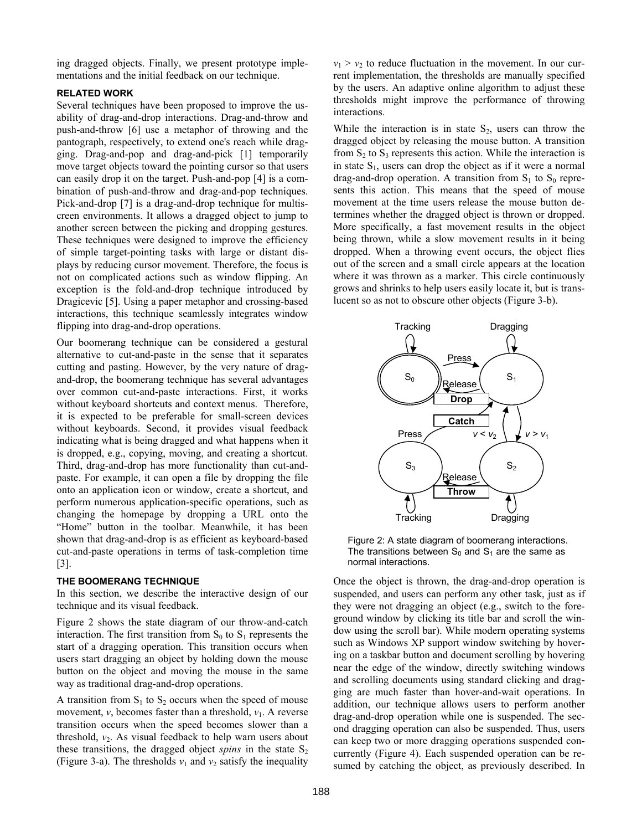ing dragged objects. Finally, we present prototype implementations and the initial feedback on our technique.

#### **RELATED WORK**

Several techniques have been proposed to improve the usability of drag-and-drop interactions. Drag-and-throw and push-and-throw [6] use a metaphor of throwing and the pantograph, respectively, to extend one's reach while dragging. Drag-and-pop and drag-and-pick [1] temporarily move target objects toward the pointing cursor so that users can easily drop it on the target. Push-and-pop [4] is a combination of push-and-throw and drag-and-pop techniques. Pick-and-drop [7] is a drag-and-drop technique for multiscreen environments. It allows a dragged object to jump to another screen between the picking and dropping gestures. These techniques were designed to improve the efficiency of simple target-pointing tasks with large or distant displays by reducing cursor movement. Therefore, the focus is not on complicated actions such as window flipping. An exception is the fold-and-drop technique introduced by Dragicevic [5]. Using a paper metaphor and crossing-based interactions, this technique seamlessly integrates window flipping into drag-and-drop operations.

Our boomerang technique can be considered a gestural alternative to cut-and-paste in the sense that it separates cutting and pasting. However, by the very nature of dragand-drop, the boomerang technique has several advantages over common cut-and-paste interactions. First, it works without keyboard shortcuts and context menus. Therefore, it is expected to be preferable for small-screen devices without keyboards. Second, it provides visual feedback indicating what is being dragged and what happens when it is dropped, e.g., copying, moving, and creating a shortcut. Third, drag-and-drop has more functionality than cut-andpaste. For example, it can open a file by dropping the file onto an application icon or window, create a shortcut, and perform numerous application-specific operations, such as changing the homepage by dropping a URL onto the "Home" button in the toolbar. Meanwhile, it has been shown that drag-and-drop is as efficient as keyboard-based cut-and-paste operations in terms of task-completion time [3].

#### **THE BOOMERANG TECHNIQUE**

In this section, we describe the interactive design of our technique and its visual feedback.

Figure 2 shows the state diagram of our throw-and-catch interaction. The first transition from  $S_0$  to  $S_1$  represents the start of a dragging operation. This transition occurs when users start dragging an object by holding down the mouse button on the object and moving the mouse in the same way as traditional drag-and-drop operations.

A transition from  $S_1$  to  $S_2$  occurs when the speed of mouse movement,  $v$ , becomes faster than a threshold,  $v_1$ . A reverse transition occurs when the speed becomes slower than a threshold,  $v_2$ . As visual feedback to help warn users about these transitions, the dragged object *spins* in the state  $S_2$ (Figure 3-a). The thresholds  $v_1$  and  $v_2$  satisfy the inequality  $v_1 > v_2$  to reduce fluctuation in the movement. In our current implementation, the thresholds are manually specified by the users. An adaptive online algorithm to adjust these thresholds might improve the performance of throwing interactions.

While the interaction is in state  $S_2$ , users can throw the dragged object by releasing the mouse button. A transition from  $S_2$  to  $S_3$  represents this action. While the interaction is in state  $S_1$ , users can drop the object as if it were a normal drag-and-drop operation. A transition from  $S_1$  to  $S_0$  represents this action. This means that the speed of mouse movement at the time users release the mouse button determines whether the dragged object is thrown or dropped. More specifically, a fast movement results in the object being thrown, while a slow movement results in it being dropped. When a throwing event occurs, the object flies out of the screen and a small circle appears at the location where it was thrown as a marker. This circle continuously grows and shrinks to help users easily locate it, but is translucent so as not to obscure other objects (Figure 3-b).



Figure 2: A state diagram of boomerang interactions. The transitions between  $S_0$  and  $S_1$  are the same as normal interactions.

Once the object is thrown, the drag-and-drop operation is suspended, and users can perform any other task, just as if they were not dragging an object (e.g., switch to the foreground window by clicking its title bar and scroll the window using the scroll bar). While modern operating systems such as Windows XP support window switching by hovering on a taskbar button and document scrolling by hovering near the edge of the window, directly switching windows and scrolling documents using standard clicking and dragging are much faster than hover-and-wait operations. In addition, our technique allows users to perform another drag-and-drop operation while one is suspended. The second dragging operation can also be suspended. Thus, users can keep two or more dragging operations suspended concurrently (Figure 4). Each suspended operation can be resumed by catching the object, as previously described. In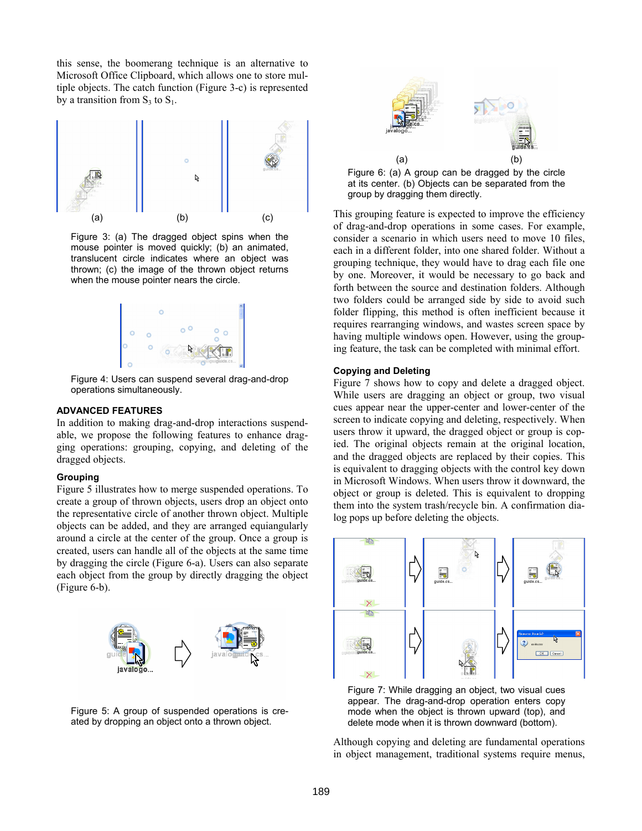this sense, the boomerang technique is an alternative to Microsoft Office Clipboard, which allows one to store multiple objects. The catch function (Figure 3-c) is represented by a transition from  $S_3$  to  $S_1$ .



Figure 3: (a) The dragged object spins when the mouse pointer is moved quickly; (b) an animated, translucent circle indicates where an object was thrown; (c) the image of the thrown object returns when the mouse pointer nears the circle.



Figure 4: Users can suspend several drag-and-drop operations simultaneously.

## **ADVANCED FEATURES**

In addition to making drag-and-drop interactions suspendable, we propose the following features to enhance dragging operations: grouping, copying, and deleting of the dragged objects.

### **Grouping**

Figure 5 illustrates how to merge suspended operations. To create a group of thrown objects, users drop an object onto the representative circle of another thrown object. Multiple objects can be added, and they are arranged equiangularly around a circle at the center of the group. Once a group is created, users can handle all of the objects at the same time by dragging the circle (Figure 6-a). Users can also separate each object from the group by directly dragging the object (Figure 6-b).



Figure 5: A group of suspended operations is created by dropping an object onto a thrown object.



Figure 6: (a) A group can be dragged by the circle at its center. (b) Objects can be separated from the group by dragging them directly.

This grouping feature is expected to improve the efficiency of drag-and-drop operations in some cases. For example, consider a scenario in which users need to move 10 files, each in a different folder, into one shared folder. Without a grouping technique, they would have to drag each file one by one. Moreover, it would be necessary to go back and forth between the source and destination folders. Although two folders could be arranged side by side to avoid such folder flipping, this method is often inefficient because it requires rearranging windows, and wastes screen space by having multiple windows open. However, using the grouping feature, the task can be completed with minimal effort.

#### **Copying and Deleting**

Figure 7 shows how to copy and delete a dragged object. While users are dragging an object or group, two visual cues appear near the upper-center and lower-center of the screen to indicate copying and deleting, respectively. When users throw it upward, the dragged object or group is copied. The original objects remain at the original location, and the dragged objects are replaced by their copies. This is equivalent to dragging objects with the control key down in Microsoft Windows. When users throw it downward, the object or group is deleted. This is equivalent to dropping them into the system trash/recycle bin. A confirmation dialog pops up before deleting the objects.



Figure 7: While dragging an object, two visual cues appear. The drag-and-drop operation enters copy mode when the object is thrown upward (top), and delete mode when it is thrown downward (bottom).

Although copying and deleting are fundamental operations in object management, traditional systems require menus,